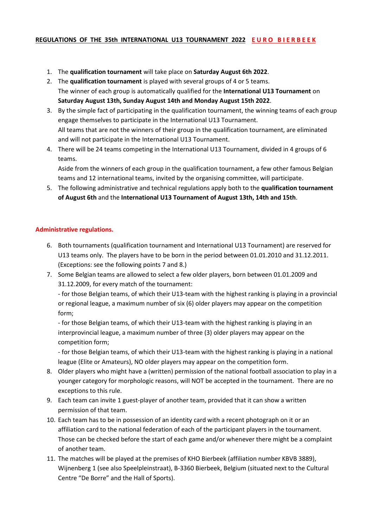### **REGULATIONS OF THE 35th INTERNATIONAL U13 TOURNAMENT 2022 E U R O B I E R B E E K**

- 1. The **qualification tournament** will take place on **Saturday August 6th 2022**.
- 2. The **qualification tournament** is played with several groups of 4 or 5 teams. The winner of each group is automatically qualified for the **International U13 Tournament** on **Saturday August 13th, Sunday August 14th and Monday August 15th 2022**.
- 3. By the simple fact of participating in the qualification tournament, the winning teams of each group engage themselves to participate in the International U13 Tournament. All teams that are not the winners of their group in the qualification tournament, are eliminated and will not participate in the International U13 Tournament.
- 4. There will be 24 teams competing in the International U13 Tournament, divided in 4 groups of 6 teams.

Aside from the winners of each group in the qualification tournament, a few other famous Belgian teams and 12 international teams, invited by the organising committee, will participate.

5. The following administrative and technical regulations apply both to the **qualification tournament of August 6th** and the **International U13 Tournament of August 13th, 14th and 15th**.

### **Administrative regulations.**

- 6. Both tournaments (qualification tournament and International U13 Tournament) are reserved for U13 teams only. The players have to be born in the period between 01.01.2010 and 31.12.2011. (Exceptions: see the following points 7 and 8.)
- 7. Some Belgian teams are allowed to select a few older players, born between 01.01.2009 and 31.12.2009, for every match of the tournament:

- for those Belgian teams, of which their U13-team with the highest ranking is playing in a provincial or regional league, a maximum number of six (6) older players may appear on the competition form;

- for those Belgian teams, of which their U13-team with the highest ranking is playing in an interprovincial league, a maximum number of three (3) older players may appear on the competition form;

- for those Belgian teams, of which their U13-team with the highest ranking is playing in a national league (Elite or Amateurs), NO older players may appear on the competition form.

- 8. Older players who might have a (written) permission of the national football association to play in a younger category for morphologic reasons, will NOT be accepted in the tournament. There are no exceptions to this rule.
- 9. Each team can invite 1 guest-player of another team, provided that it can show a written permission of that team.
- 10. Each team has to be in possession of an identity card with a recent photograph on it or an affiliation card to the national federation of each of the participant players in the tournament. Those can be checked before the start of each game and/or whenever there might be a complaint of another team.
- 11. The matches will be played at the premises of KHO Bierbeek (affiliation number KBVB 3889), Wijnenberg 1 (see also Speelpleinstraat), B-3360 Bierbeek, Belgium (situated next to the Cultural Centre "De Borre" and the Hall of Sports).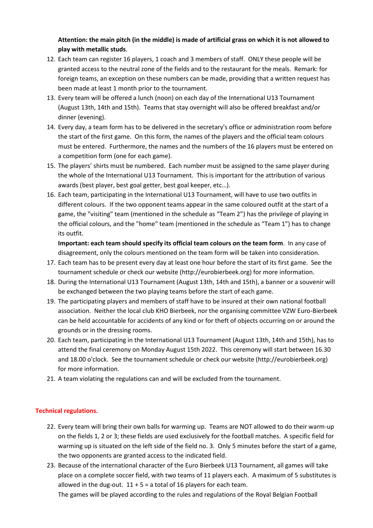# **Attention: the main pitch (in the middle) is made of artificial grass on which it is not allowed to play with metallic studs**.

- 12. Each team can register 16 players, 1 coach and 3 members of staff. ONLY these people will be granted access to the neutral zone of the fields and to the restaurant for the meals. Remark: for foreign teams, an exception on these numbers can be made, providing that a written request has been made at least 1 month prior to the tournament.
- 13. Every team will be offered a lunch (noon) on each day of the International U13 Tournament (August 13th, 14th and 15th). Teams that stay overnight will also be offered breakfast and/or dinner (evening).
- 14. Every day, a team form has to be delivered in the secretary's office or administration room before the start of the first game. On this form, the names of the players and the official team colours must be entered. Furthermore, the names and the numbers of the 16 players must be entered on a competition form (one for each game).
- 15. The players' shirts must be numbered. Each number must be assigned to the same player during the whole of the International U13 Tournament. This is important for the attribution of various awards (best player, best goal getter, best goal keeper, etc…).
- 16. Each team, participating in the International U13 Tournament, will have to use two outfits in different colours. If the two opponent teams appear in the same coloured outfit at the start of a game, the "visiting" team (mentioned in the schedule as "Team 2") has the privilege of playing in the official colours, and the "home" team (mentioned in the schedule as "Team 1") has to change its outfit.

**Important: each team should specify its official team colours on the team form**. In any case of disagreement, only the colours mentioned on the team form will be taken into consideration.

- 17. Each team has to be present every day at least one hour before the start of its first game. See the tournament schedule or check our website (http://eurobierbeek.org) for more information.
- 18. During the International U13 Tournament (August 13th, 14th and 15th), a banner or a souvenir will be exchanged between the two playing teams before the start of each game.
- 19. The participating players and members of staff have to be insured at their own national football association. Neither the local club KHO Bierbeek, nor the organising committee VZW Euro-Bierbeek can be held accountable for accidents of any kind or for theft of objects occurring on or around the grounds or in the dressing rooms.
- 20. Each team, participating in the International U13 Tournament (August 13th, 14th and 15th), has to attend the final ceremony on Monday August 15th 2022. This ceremony will start between 16.30 and 18.00 o'clock. See the tournament schedule or check our website (http://eurobierbeek.org) for more information.
- 21. A team violating the regulations can and will be excluded from the tournament.

## **Technical regulations.**

- 22. Every team will bring their own balls for warming up. Teams are NOT allowed to do their warm-up on the fields 1, 2 or 3; these fields are used exclusively for the football matches. A specific field for warming up is situated on the left side of the field no. 3. Only 5 minutes before the start of a game, the two opponents are granted access to the indicated field.
- 23. Because of the international character of the Euro Bierbeek U13 Tournament, all games will take place on a complete soccer field, with two teams of 11 players each. A maximum of 5 substitutes is allowed in the dug-out.  $11 + 5 = a$  total of 16 players for each team.

The games will be played according to the rules and regulations of the Royal Belgian Football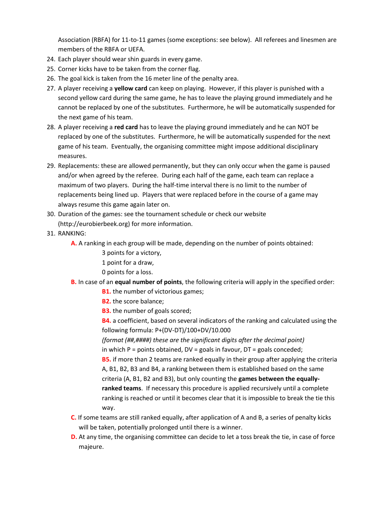Association (RBFA) for 11-to-11 games (some exceptions: see below). All referees and linesmen are members of the RBFA or UEFA.

- 24. Each player should wear shin guards in every game.
- 25. Corner kicks have to be taken from the corner flag.
- 26. The goal kick is taken from the 16 meter line of the penalty area.
- 27. A player receiving a **yellow card** can keep on playing. However, if this player is punished with a second yellow card during the same game, he has to leave the playing ground immediately and he cannot be replaced by one of the substitutes. Furthermore, he will be automatically suspended for the next game of his team.
- 28. A player receiving a **red card** has to leave the playing ground immediately and he can NOT be replaced by one of the substitutes. Furthermore, he will be automatically suspended for the next game of his team. Eventually, the organising committee might impose additional disciplinary measures.
- 29. Replacements: these are allowed permanently, but they can only occur when the game is paused and/or when agreed by the referee. During each half of the game, each team can replace a maximum of two players. During the half-time interval there is no limit to the number of replacements being lined up. Players that were replaced before in the course of a game may always resume this game again later on.
- 30. Duration of the games: see the tournament schedule or check our website (http://eurobierbeek.org) for more information.
- 31. RANKING:
	- **A.** A ranking in each group will be made, depending on the number of points obtained:
		- 3 points for a victory,
		- 1 point for a draw,
		- 0 points for a loss.
	- **B.** In case of an **equal number of points**, the following criteria will apply in the specified order:
		- **B1.** the number of victorious games;
		- **B2.** the score balance;
		- **B3.** the number of goals scored;
		- **B4.** a coefficient, based on several indicators of the ranking and calculated using the following formula: P+(DV-DT)/100+DV/10.000
		- *(format (##,####) these are the significant digits after the decimal point)*
		- in which  $P =$  points obtained,  $DV =$  goals in favour,  $DT =$  goals conceded;
		- **B5.** if more than 2 teams are ranked equally in their group after applying the criteria A, B1, B2, B3 and B4, a ranking between them is established based on the same criteria (A, B1, B2 and B3), but only counting the **games between the equallyranked teams**. If necessary this procedure is applied recursively until a complete ranking is reached or until it becomes clear that it is impossible to break the tie this way.
	- **C.** If some teams are still ranked equally, after application of A and B, a series of penalty kicks will be taken, potentially prolonged until there is a winner.
	- **D.** At any time, the organising committee can decide to let a toss break the tie, in case of force majeure.